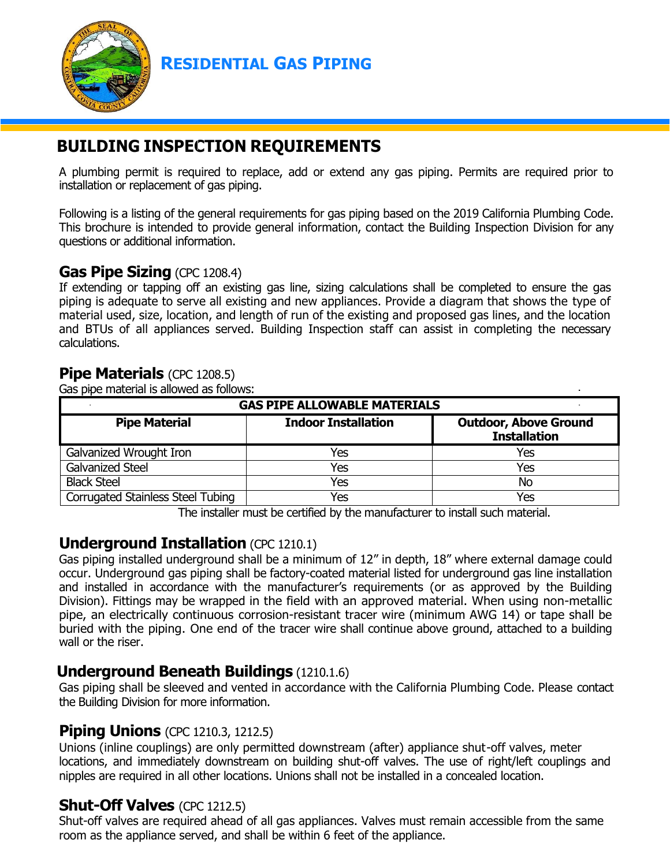

**RESIDENTIAL GAS PIPING**

# **BUILDING INSPECTION REQUIREMENTS**

A plumbing permit is required to replace, add or extend any gas piping. Permits are required prior to installation or replacement of gas piping.

Following is a listing of the general requirements for gas piping based on the 2019 California Plumbing Code. This brochure is intended to provide general information, contact the Building Inspection Division for any questions or additional information.

#### **Gas Pipe Sizing** (CPC 1208.4)

If extending or tapping off an existing gas line, sizing calculations shall be completed to ensure the gas piping is adequate to serve all existing and new appliances. Provide a diagram that shows the type of material used, size, location, and length of run of the existing and proposed gas lines, and the location and BTUs of all appliances served. Building Inspection staff can assist in completing the necessary calculations.

#### **Pipe Materials** (CPC 1208.5)

Gas pipe material is allowed as follows:

| <b>GAS PIPE ALLOWABLE MATERIALS</b><br>$\sim$ |                            |                                                     |
|-----------------------------------------------|----------------------------|-----------------------------------------------------|
| <b>Pipe Material</b>                          | <b>Indoor Installation</b> | <b>Outdoor, Above Ground</b><br><b>Installation</b> |
| Galvanized Wrought Iron                       | Yes                        | Yes                                                 |
| <b>Galvanized Steel</b>                       | Yes                        | Yes                                                 |
| <b>Black Steel</b>                            | Yes                        | No                                                  |
| <b>Corrugated Stainless Steel Tubing</b>      | Yes                        | Yes                                                 |

The installer must be certified by the manufacturer to install such material.

### **Underground Installation** (CPC 1210.1)

Gas piping installed underground shall be a minimum of 12" in depth, 18" where external damage could occur. Underground gas piping shall be factory-coated material listed for underground gas line installation and installed in accordance with the manufacturer's requirements (or as approved by the Building Division). Fittings may be wrapped in the field with an approved material. When using non-metallic pipe, an electrically continuous corrosion-resistant tracer wire (minimum AWG 14) or tape shall be buried with the piping. One end of the tracer wire shall continue above ground, attached to a building wall or the riser.

#### **Underground Beneath Buildings** (1210.1.6)

Gas piping shall be sleeved and vented in accordance with the California Plumbing Code. Please contact the Building Division for more information.

### **Piping Unions** (CPC 1210.3, 1212.5)

Unions (inline couplings) are only permitted downstream (after) appliance shut-off valves, meter locations, and immediately downstream on building shut-off valves. The use of right/left couplings and nipples are required in all other locations. Unions shall not be installed in a concealed location.

#### **Shut-Off Valves** (CPC 1212.5)

Shut-off valves are required ahead of all gas appliances. Valves must remain accessible from the same room as the appliance served, and shall be within 6 feet of the appliance.